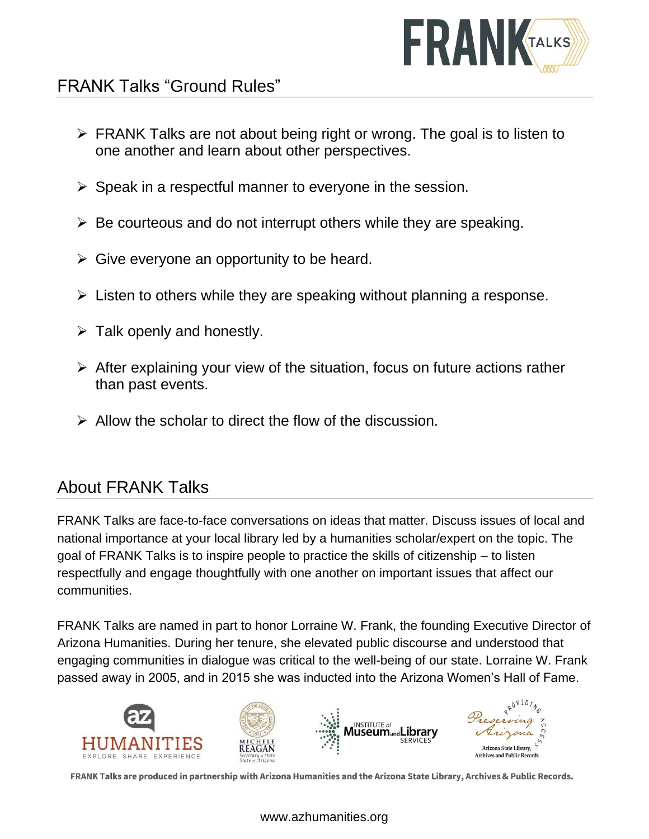

## FRANK Talks "Ground Rules"

- ➢ FRANK Talks are not about being right or wrong. The goal is to listen to one another and learn about other perspectives.
- $\triangleright$  Speak in a respectful manner to everyone in the session.
- $\triangleright$  Be courteous and do not interrupt others while they are speaking.
- $\triangleright$  Give everyone an opportunity to be heard.
- $\triangleright$  Listen to others while they are speaking without planning a response.
- $\triangleright$  Talk openly and honestly.
- ➢ After explaining your view of the situation, focus on future actions rather than past events.
- $\triangleright$  Allow the scholar to direct the flow of the discussion.

### About FRANK Talks

FRANK Talks are face-to-face conversations on ideas that matter. Discuss issues of local and national importance at your local library led by a humanities scholar/expert on the topic. The goal of FRANK Talks is to inspire people to practice the skills of citizenship – to listen respectfully and engage thoughtfully with one another on important issues that affect our communities.

FRANK Talks are named in part to honor Lorraine W. Frank, the founding Executive Director of Arizona Humanities. During her tenure, she elevated public discourse and understood that engaging communities in dialogue was critical to the well-being of our state. Lorraine W. Frank passed away in 2005, and in 2015 she was inducted into the Arizona Women's Hall of Fame.



FRANK Talks are produced in partnership with Arizona Humanities and the Arizona State Library, Archives & Public Records.

www.azhumanities.org